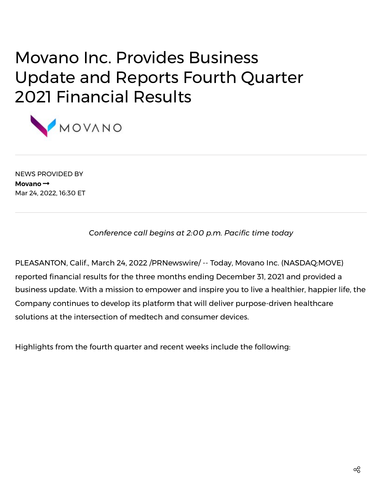# Movano Inc. Provides Business Update and Reports Fourth Quarter 2021 Financial Results



NEWS PROVIDED BY **[Movano](https://www.prnewswire.com/news/movano/)** Mar 24, 2022, 16:30 ET

*Conference call begins at 2:00 p.m. Pacific time today*

PLEASANTON, Calif., March 24, 2022 /PRNewswire/ -- Today, [Movano](https://c212.net/c/link/?t=0&l=en&o=3482774-1&h=2312416895&u=https%3A%2F%2Fmovano.com%2F&a=Movano+Inc.) Inc. (NASDAQ:MOVE) reported financial results for the three months ending December 31, 2021 and provided a business update. With a mission to empower and inspire you to live a healthier, happier life, the Company continues to develop its platform that will deliver purpose-driven healthcare solutions at the intersection of medtech and consumer devices.

Highlights from the fourth quarter and recent weeks include the following: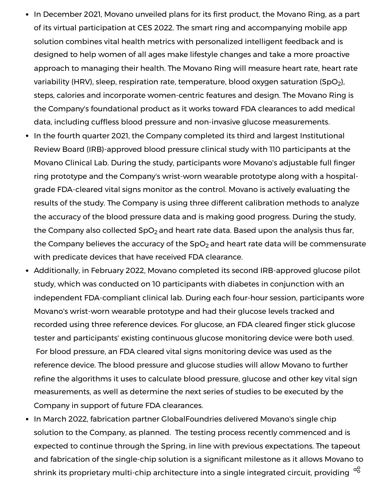- In December 2021, Movano unveiled plans for its first product, the Movano Ring, as a part of its virtual participation at CES 2022. The smart ring and accompanying mobile app solution combines vital health metrics with personalized intelligent feedback and is designed to help women of all ages make lifestyle changes and take a more proactive approach to managing their health. The Movano Ring will measure heart rate, heart rate variability (HRV), sleep, respiration rate, temperature, blood oxygen saturation (SpO<sub>2</sub>), steps, calories and incorporate women-centric features and design. The Movano Ring is the Company's foundational product as it works toward FDA clearances to add medical data, including cuffless blood pressure and non-invasive glucose measurements.
- In the fourth quarter 2021, the Company completed its third and largest Institutional Review Board (IRB)-approved blood pressure clinical study with 110 participants at the Movano Clinical Lab. During the study, participants wore Movano's adjustable full finger ring prototype and the Company's wrist-worn wearable prototype along with a hospitalgrade FDA-cleared vital signs monitor as the control. Movano is actively evaluating the results of the study. The Company is using three different calibration methods to analyze the accuracy of the blood pressure data and is making good progress. During the study, the Company also collected SpO<sub>2</sub> and heart rate data. Based upon the analysis thus far, the Company believes the accuracy of the SpO $_2$  and heart rate data will be commensurate with predicate devices that have received FDA clearance.
- Additionally, in February 2022, Movano completed its second IRB-approved glucose pilot study, which was conducted on 10 participants with diabetes in conjunction with an independent FDA-compliant clinical lab. During each four-hour session, participants wore Movano's wrist-worn wearable prototype and had their glucose levels tracked and recorded using three reference devices. For glucose, an FDA cleared finger stick glucose tester and participants' existing continuous glucose monitoring device were both used. For blood pressure, an FDA cleared vital signs monitoring device was used as the reference device. The blood pressure and glucose studies will allow Movano to further refine the algorithms it uses to calculate blood pressure, glucose and other key vital sign measurements, as well as determine the next series of studies to be executed by the Company in support of future FDA clearances.
- In March 2022, fabrication partner GlobalFoundries delivered Movano's single chip solution to the Company, as planned. The testing process recently commenced and is expected to continue through the Spring, in line with previous expectations. The tapeout and fabrication of the single-chip solution is a significant milestone as it allows Movano to shrink its proprietary multi-chip architecture into a single integrated circuit, providing  $^{\texttt{oc}}$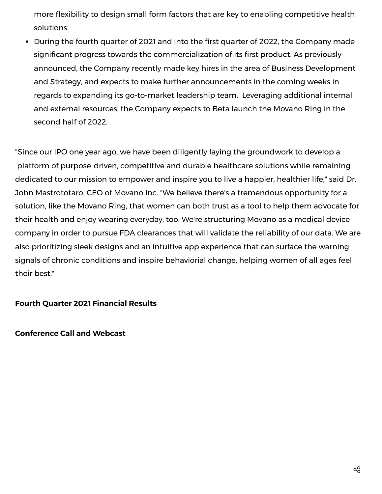more flexibility to design small form factors that are key to enabling competitive health solutions.

During the fourth quarter of 2021 and into the first quarter of 2022, the Company made significant progress towards the commercialization of its first product. As previously announced, the Company recently made key hires in the area of Business Development and Strategy, and expects to make further announcements in the coming weeks in regards to expanding its go-to-market leadership team. Leveraging additional internal and external resources, the Company expects to Beta launch the Movano Ring in the second half of 2022.

"Since our IPO one year ago, we have been diligently laying the groundwork to develop a platform of purpose-driven, competitive and durable healthcare solutions while remaining dedicated to our mission to empower and inspire you to live a happier, healthier life," said Dr. John Mastrototaro, CEO of Movano Inc. "We believe there's a tremendous opportunity for a solution, like the Movano Ring, that women can both trust as a tool to help them advocate for their health and enjoy wearing everyday, too. We're structuring Movano as a medical device company in order to pursue FDA clearances that will validate the reliability of our data. We are also prioritizing sleek designs and an intuitive app experience that can surface the warning signals of chronic conditions and inspire behaviorial change, helping women of all ages feel their best."

# **Fourth Quarter 2021 Financial Results**

**Conference Call and Webcast**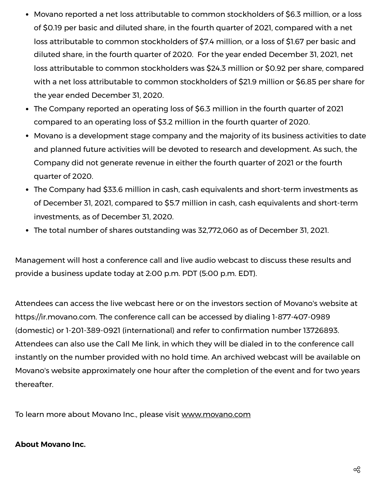- Movano reported a net loss attributable to common stockholders of \$6.3 million, or a loss of \$0.19 per basic and diluted share, in the fourth quarter of 2021, compared with a net loss attributable to common stockholders of \$7.4 million, or a loss of \$1.67 per basic and diluted share, in the fourth quarter of 2020. For the year ended December 31, 2021, net loss attributable to common stockholders was \$24.3 million or \$0.92 per share, compared with a net loss attributable to common stockholders of \$21.9 million or \$6.85 per share for the year ended December 31, 2020.
- The Company reported an operating loss of \$6.3 million in the fourth quarter of 2021 compared to an operating loss of \$3.2 million in the fourth quarter of 2020.
- Movano is a development stage company and the majority of its business activities to date and planned future activities will be devoted to research and development. As such, the Company did not generate revenue in either the fourth quarter of 2021 or the fourth quarter of 2020.
- The Company had \$33.6 million in cash, cash equivalents and short-term investments as of December 31, 2021, compared to \$5.7 million in cash, cash equivalents and short-term investments, as of December 31, 2020.
- The total number of shares outstanding was 32,772,060 as of December 31, 2021.

Management will host a conference call and live audio webcast to discuss these results and provide a business update today at 2:00 p.m. PDT (5:00 p.m. EDT).

Attendees can access the live webcast [here](https://c212.net/c/link/?t=0&l=en&o=3482774-1&h=2964530857&u=https%3A%2F%2Fwww.webcast-eqs.com%2Fmovano03242022_en%2Fen&a=here) or on the investors section of Movano's website at [https://ir.movano.com.](https://c212.net/c/link/?t=0&l=en&o=3482774-1&h=1801975005&u=https%3A%2F%2Fir.movano.com%2F&a=https%3A%2F%2Fir.movano.com) The conference call can be accessed by dialing 1-877-407-0989 (domestic) or 1-201-389-0921 (international) and refer to confirmation number 13726893. Attendees can also use the Call Me [link,](https://c212.net/c/link/?t=0&l=en&o=3482774-1&h=4199436492&u=https%3A%2F%2Fhd.choruscall.com%2FInComm%2F%3Fcallme%3Dtrue%26passcode%3D13719127%26h%3Dtrue%26info%3Dcompany%26r%3Dtrue%26B%3D6&a=Call+Me+link) in which they will be dialed in to the conference call instantly on the number provided with no hold time. An archived webcast will be available on Movano's website approximately one hour after the completion of the event and for two years thereafter.

To learn more about Movano Inc., please visit [www.movano.com](https://c212.net/c/link/?t=0&l=en&o=3482774-1&h=3679890039&u=http%3A%2F%2Fwww.movano.com%2F&a=www.movano.com)

## **About Movano Inc.**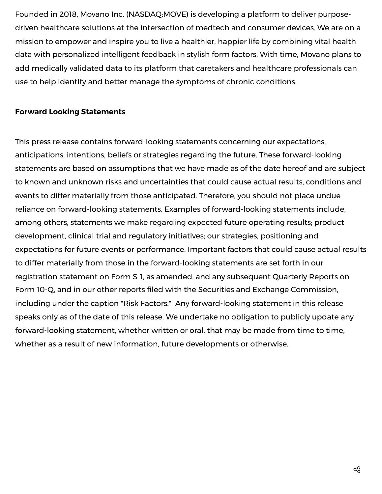Founded in 2018, Movano Inc. (NASDAQ:MOVE) is developing a platform to deliver purposedriven healthcare solutions at the intersection of medtech and consumer devices. We are on a mission to empower and inspire you to live a healthier, happier life by combining vital health data with personalized intelligent feedback in stylish form factors. With time, Movano plans to add medically validated data to its platform that caretakers and healthcare professionals can use to help identify and better manage the symptoms of chronic conditions.

# **Forward Looking Statements**

This press release contains forward-looking statements concerning our expectations, anticipations, intentions, beliefs or strategies regarding the future. These forward-looking statements are based on assumptions that we have made as of the date hereof and are subject to known and unknown risks and uncertainties that could cause actual results, conditions and events to differ materially from those anticipated. Therefore, you should not place undue reliance on forward-looking statements. Examples of forward-looking statements include, among others, statements we make regarding expected future operating results; product development, clinical trial and regulatory initiatives; our strategies, positioning and expectations for future events or performance. Important factors that could cause actual results to differ materially from those in the forward-looking statements are set forth in our registration statement on Form S-1, as amended, and any subsequent Quarterly Reports on Form 10-Q, and in our other reports filed with the Securities and Exchange Commission, including under the caption "Risk Factors." Any forward-looking statement in this release speaks only as of the date of this release. We undertake no obligation to publicly update any forward-looking statement, whether written or oral, that may be made from time to time, whether as a result of new information, future developments or otherwise.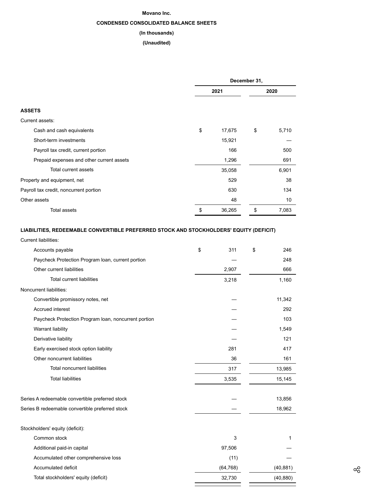#### **Movano Inc.**

## **CONDENSED CONSOLIDATED BALANCE SHEETS**

#### **(In thousands)**

#### **(Unaudited)**

|                                           | December 31, |        |      |       |  |
|-------------------------------------------|--------------|--------|------|-------|--|
|                                           | 2021         |        | 2020 |       |  |
| <b>ASSETS</b>                             |              |        |      |       |  |
| Current assets:                           |              |        |      |       |  |
| Cash and cash equivalents                 | \$           | 17,675 | \$   | 5,710 |  |
| Short-term investments                    |              | 15,921 |      |       |  |
| Payroll tax credit, current portion       |              | 166    |      | 500   |  |
| Prepaid expenses and other current assets |              | 1,296  |      | 691   |  |
| Total current assets                      |              | 35,058 |      | 6,901 |  |
| Property and equipment, net               |              | 529    |      | 38    |  |
| Payroll tax credit, noncurrent portion    |              | 630    |      | 134   |  |
| Other assets                              |              | 48     |      | 10    |  |
| Total assets                              | \$           | 36,265 | \$   | 7,083 |  |

#### **LIABILITIES, REDEEMABLE CONVERTIBLE PREFERRED STOCK AND STOCKHOLDERS' EQUITY (DEFICIT)**

| Current liabilities:                                 |    |           |    |           |
|------------------------------------------------------|----|-----------|----|-----------|
| Accounts payable                                     | \$ | 311       | \$ | 246       |
| Paycheck Protection Program Ioan, current portion    |    |           |    | 248       |
| Other current liabilities                            |    | 2,907     |    | 666       |
| <b>Total current liabilities</b>                     |    | 3,218     |    | 1,160     |
| Noncurrent liabilities:                              |    |           |    |           |
| Convertible promissory notes, net                    |    |           |    | 11,342    |
| Accrued interest                                     |    |           |    |           |
| Paycheck Protection Program Ioan, noncurrent portion |    |           |    | 103       |
| Warrant liability                                    |    |           |    |           |
| Derivative liability                                 |    |           |    | 121       |
| Early exercised stock option liability               |    | 281       |    | 417       |
| Other noncurrent liabilities                         |    | 36        |    | 161       |
| <b>Total noncurrent liabilities</b>                  |    | 317       |    | 13,985    |
| <b>Total liabilities</b>                             |    | 3,535     |    | 15,145    |
| Series A redeemable convertible preferred stock      |    |           |    | 13,856    |
| Series B redeemable convertible preferred stock      |    |           |    | 18,962    |
| Stockholders' equity (deficit):                      |    |           |    |           |
| Common stock                                         |    | 3         |    | 1         |
| Additional paid-in capital                           |    | 97,506    |    |           |
| Accumulated other comprehensive loss                 |    | (11)      |    |           |
| Accumulated deficit                                  |    | (64, 768) |    | (40, 881) |

Total stockholders' equity (deficit) 32,730 (40,880)